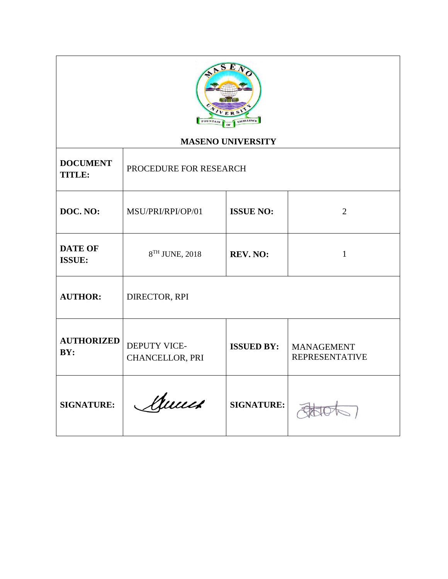

# **MASENO UNIVERSITY**

| <b>DOCUMENT</b><br><b>TITLE:</b> | PROCEDURE FOR RESEARCH          |                   |                                            |
|----------------------------------|---------------------------------|-------------------|--------------------------------------------|
| DOC. NO:                         | MSU/PRI/RPI/OP/01               | <b>ISSUE NO:</b>  | 2                                          |
| <b>DATE OF</b><br><b>ISSUE:</b>  | 8TH JUNE, 2018                  | REV. NO:          | 1                                          |
| <b>AUTHOR:</b>                   | DIRECTOR, RPI                   |                   |                                            |
| <b>AUTHORIZED</b><br>BY:         | DEPUTY VICE-<br>CHANCELLOR, PRI | <b>ISSUED BY:</b> | <b>MANAGEMENT</b><br><b>REPRESENTATIVE</b> |
| <b>SIGNATURE:</b>                | Annes                           | <b>SIGNATURE:</b> |                                            |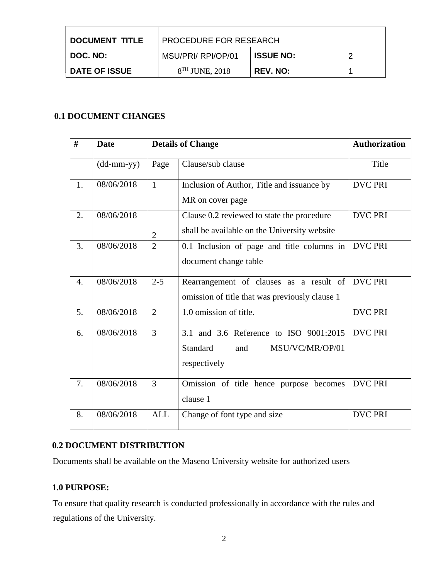| I DOCUMENT TITLE | PROCEDURE FOR RESEARCH |                  |  |
|------------------|------------------------|------------------|--|
| DOC. NO:         | MSU/PRI/ RPI/OP/01     | <b>ISSUE NO:</b> |  |
| ∣ DATE OF ISSUE  | $8TH$ JUNE, 2018       | <b>REV. NO:</b>  |  |

## **0.1 DOCUMENT CHANGES**

| #                | <b>Date</b>  |                | <b>Details of Change</b>                                                                            | <b>Authorization</b> |
|------------------|--------------|----------------|-----------------------------------------------------------------------------------------------------|----------------------|
|                  | $(dd-mm-yy)$ | Page           | Clause/sub clause                                                                                   | Title                |
| 1.               | 08/06/2018   | $\mathbf{1}$   | Inclusion of Author, Title and issuance by<br>MR on cover page                                      | <b>DVC PRI</b>       |
| 2.               | 08/06/2018   | $\overline{2}$ | Clause 0.2 reviewed to state the procedure<br>shall be available on the University website          | <b>DVC PRI</b>       |
| 3.               | 08/06/2018   | $\overline{2}$ | 0.1 Inclusion of page and title columns in<br>document change table                                 | <b>DVC PRI</b>       |
| $\overline{4}$ . | 08/06/2018   | $2 - 5$        | Rearrangement of clauses as a result of<br>omission of title that was previously clause 1           | <b>DVC PRI</b>       |
| 5.               | 08/06/2018   | $\overline{2}$ | 1.0 omission of title.                                                                              | <b>DVC PRI</b>       |
| 6.               | 08/06/2018   | 3              | 3.1 and 3.6 Reference to ISO 9001:2015<br><b>Standard</b><br>MSU/VC/MR/OP/01<br>and<br>respectively | <b>DVC PRI</b>       |
| 7.               | 08/06/2018   | $\overline{3}$ | Omission of title hence purpose becomes<br>clause 1                                                 | <b>DVC PRI</b>       |
| 8.               | 08/06/2018   | <b>ALL</b>     | Change of font type and size                                                                        | <b>DVC PRI</b>       |

## **0.2 DOCUMENT DISTRIBUTION**

Documents shall be available on the Maseno University website for authorized users

### **1.0 PURPOSE:**

To ensure that quality research is conducted professionally in accordance with the rules and regulations of the University.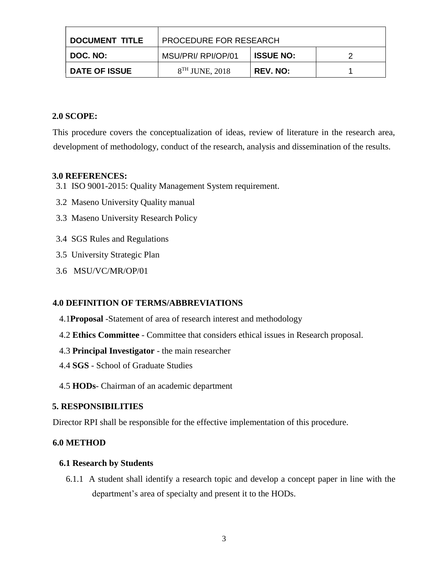| <b>DOCUMENT TITLE</b> | <b>PROCEDURE FOR RESEARCH</b> |                  |  |
|-----------------------|-------------------------------|------------------|--|
| DOC. NO:              | MSU/PRI/ RPI/OP/01            | <b>ISSUE NO:</b> |  |
| <b>DATE OF ISSUE</b>  | $8TH$ JUNE, 2018              | <b>REV. NO:</b>  |  |

### **2.0 SCOPE:**

This procedure covers the conceptualization of ideas, review of literature in the research area, development of methodology, conduct of the research, analysis and dissemination of the results.

### **3.0 REFERENCES:**

- 3.1 ISO 9001-2015: Quality Management System requirement.
- 3.2 Maseno University Quality manual
- 3.3 Maseno University Research Policy
- 3.4 SGS Rules and Regulations
- 3.5 University Strategic Plan
- 3.6 MSU/VC/MR/OP/01

### **4.0 DEFINITION OF TERMS/ABBREVIATIONS**

- 4.1**Proposal** -Statement of area of research interest and methodology
- 4.2 **Ethics Committee** Committee that considers ethical issues in Research proposal.
- 4.3 **Principal Investigator**  the main researcher
- 4.4 **SGS** School of Graduate Studies
- 4.5 **HODs** Chairman of an academic department

### **5. RESPONSIBILITIES**

Director RPI shall be responsible for the effective implementation of this procedure.

### **6.0 METHOD**

### **6.1 Research by Students**

6.1.1 A student shall identify a research topic and develop a concept paper in line with the department's area of specialty and present it to the HODs.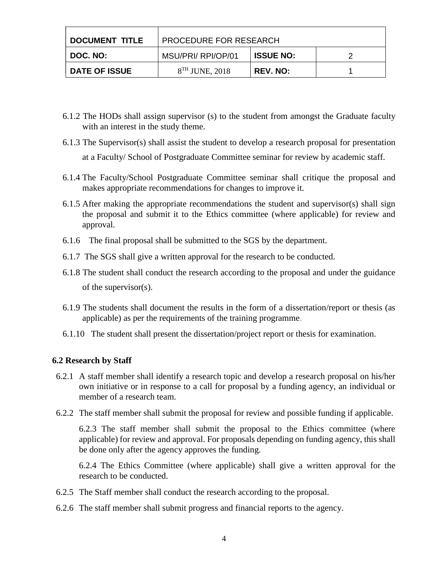| DOCUMENT TITLE       | <b>PROCEDURE FOR RESEARCH</b> |                  |  |
|----------------------|-------------------------------|------------------|--|
| I DOC. NO:           | MSU/PRI/ RPI/OP/01            | <b>ISSUE NO:</b> |  |
| <b>DATE OF ISSUE</b> | $8TH$ JUNE, 2018              | <b>REV. NO:</b>  |  |

- 6.1.2 The HODs shall assign supervisor (s) to the student from amongst the Graduate faculty with an interest in the study theme.
- 6.1.3 The Supervisor(s) shall assist the student to develop a research proposal for presentation at a Faculty/ School of Postgraduate Committee seminar for review by academic staff.
- 6.1.4 The Faculty/School Postgraduate Committee seminar shall critique the proposal and makes appropriate recommendations for changes to improve it.
- 6.1.5 After making the appropriate recommendations the student and supervisor(s) shall sign the proposal and submit it to the Ethics committee (where applicable) for review and approval.
- 6.1.6 The final proposal shall be submitted to the SGS by the department.
- 6.1.7 The SGS shall give a written approval for the research to be conducted.
- 6.1.8 The student shall conduct the research according to the proposal and under the guidance of the supervisor(s).
- 6.1.9 The students shall document the results in the form of a dissertation/report or thesis (as applicable) as per the requirements of the training programme.
- 6.1.10 The student shall present the dissertation/project report or thesis for examination.

#### **6.2 Research by Staff**

- 6.2.1 A staff member shall identify a research topic and develop a research proposal on his/her own initiative or in response to a call for proposal by a funding agency, an individual or member of a research team.
- 6.2.2 The staff member shall submit the proposal for review and possible funding if applicable.

6.2.3 The staff member shall submit the proposal to the Ethics committee (where applicable) for review and approval. For proposals depending on funding agency, this shall be done only after the agency approves the funding.

6.2.4 The Ethics Committee (where applicable) shall give a written approval for the research to be conducted.

- 6.2.5 The Staff member shall conduct the research according to the proposal.
- 6.2.6 The staff member shall submit progress and financial reports to the agency.